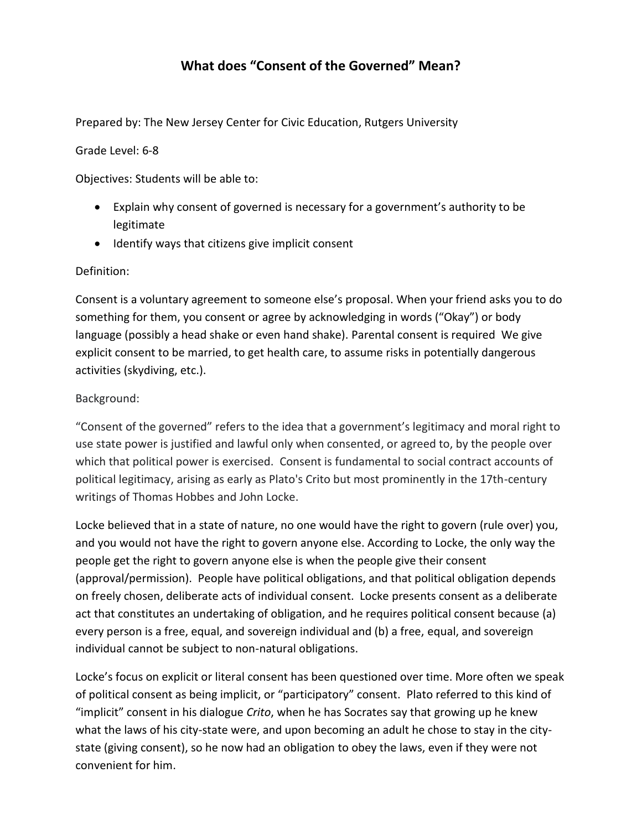# **What does "Consent of the Governed" Mean?**

Prepared by: The New Jersey Center for Civic Education, Rutgers University

Grade Level: 6-8

Objectives: Students will be able to:

- Explain why consent of governed is necessary for a government's authority to be legitimate
- Identify ways that citizens give implicit consent

#### Definition:

Consent is a voluntary agreement to someone else's proposal. When your friend asks you to do something for them, you consent or agree by acknowledging in words ("Okay") or body language (possibly a head shake or even hand shake). Parental consent is required We give explicit consent to be married, to get health care, to assume risks in potentially dangerous activities (skydiving, etc.).

#### Background:

"Consent of the governed" refers to the idea that a government's legitimacy and moral right to use state power is justified and lawful only when consented, or agreed to, by the people over which that political power is exercised. Consent is fundamental to social contract accounts of political legitimacy, arising as early as Plato's Crito but most prominently in the 17th-century writings of Thomas Hobbes and John Locke.

Locke believed that in a state of nature, no one would have the right to govern (rule over) you, and you would not have the right to govern anyone else. According to Locke, the only way the people get the right to govern anyone else is when the people give their consent (approval/permission). People have political obligations, and that political obligation depends on freely chosen, deliberate acts of individual consent. Locke presents consent as a deliberate act that constitutes an undertaking of obligation, and he requires political consent because (a) every person is a free, equal, and sovereign individual and (b) a free, equal, and sovereign individual cannot be subject to non-natural obligations.

Locke's focus on explicit or literal consent has been questioned over time. More often we speak of political consent as being implicit, or "participatory" consent. Plato referred to this kind of "implicit" consent in his dialogue *Crito*, when he has Socrates say that growing up he knew what the laws of his city-state were, and upon becoming an adult he chose to stay in the citystate (giving consent), so he now had an obligation to obey the laws, even if they were not convenient for him.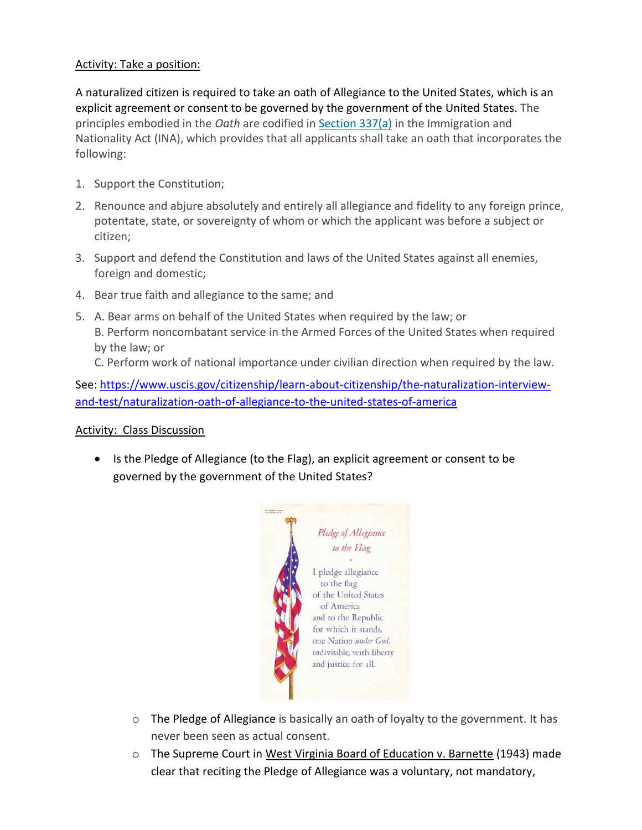### Activity: Take a position:

A naturalized citizen is required to take an oath of Allegiance to the United States, which is an explicit agreement or consent to be governed by the government of the United States. The principles embodied in the *Oath* are codified in [Section 337\(a\)](https://uscode.house.gov/view.xhtml?req=granuleid%3AUSC-prelim-title8-section1448&num=0&edition=prelim) in the Immigration and Nationality Act (INA), which provides that all applicants shall take an oath that incorporates the following:

- 1. Support the Constitution;
- 2. Renounce and abjure absolutely and entirely all allegiance and fidelity to any foreign prince, potentate, state, or sovereignty of whom or which the applicant was before a subject or citizen;
- 3. Support and defend the Constitution and laws of the United States against all enemies, foreign and domestic;
- 4. Bear true faith and allegiance to the same; and
- 5. A. Bear arms on behalf of the United States when required by the law; or B. Perform noncombatant service in the Armed Forces of the United States when required by the law; or

C. Perform work of national importance under civilian direction when required by the law.

See: [https://www.uscis.gov/citizenship/learn-about-citizenship/the-naturalization-interview](https://www.uscis.gov/citizenship/learn-about-citizenship/the-naturalization-interview-and-test/naturalization-oath-of-allegiance-to-the-united-states-of-america)[and-test/naturalization-oath-of-allegiance-to-the-united-states-of-america](https://www.uscis.gov/citizenship/learn-about-citizenship/the-naturalization-interview-and-test/naturalization-oath-of-allegiance-to-the-united-states-of-america)

#### Activity: Class Discussion

• Is the Pledge of Allegiance (to the Flag), an explicit agreement or consent to be governed by the government of the United States?



- o The Pledge of Allegiance is basically an oath of loyalty to the government. It has never been seen as actual consent.
- o The Supreme Court in West Virginia Board of Education v. Barnette (1943) made clear that reciting the Pledge of Allegiance was a voluntary, not mandatory,